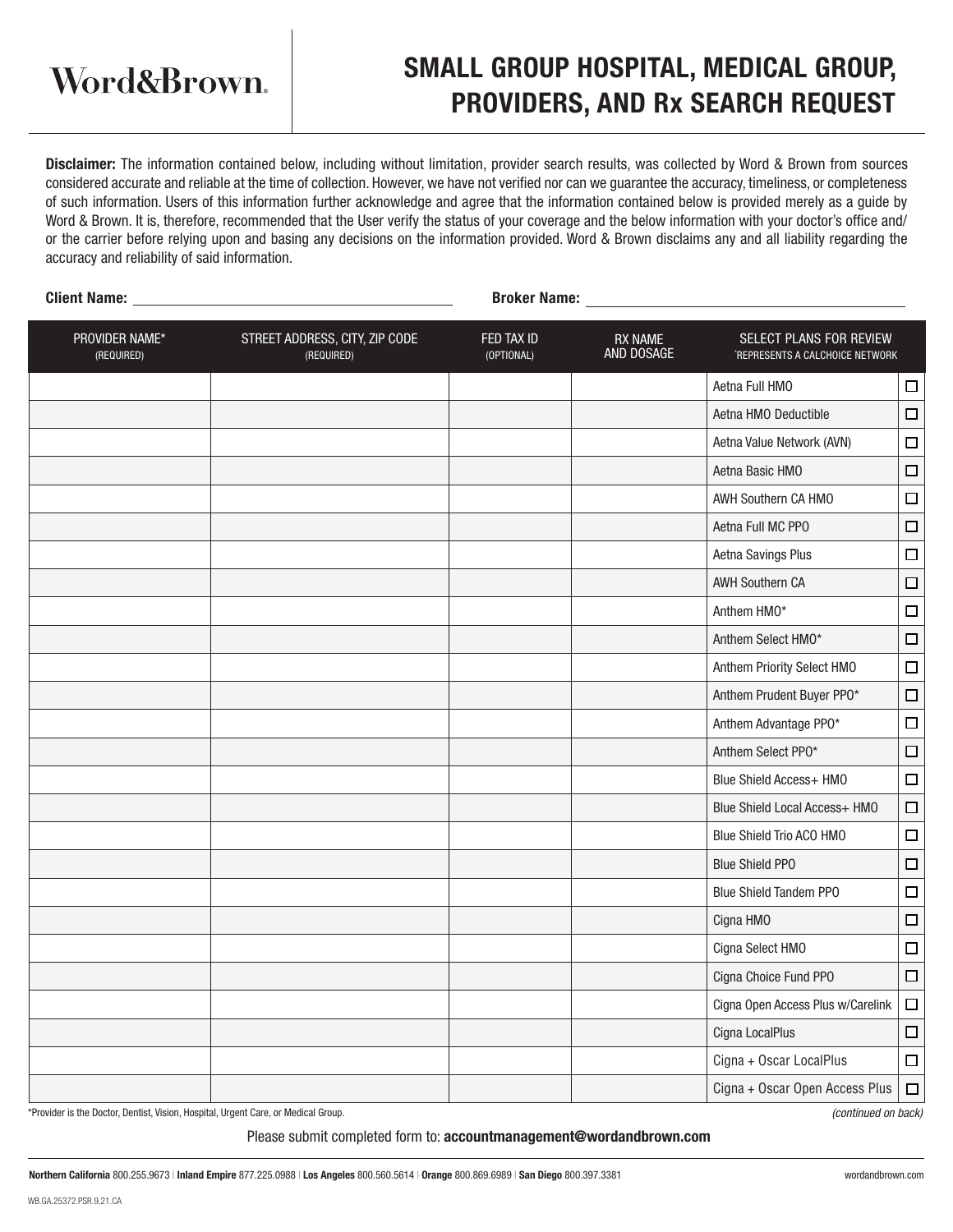Word&Brown.

## SMALL GROUP HOSPITAL, MEDICAL GROUP, PROVIDERS, AND Rx SEARCH REQUEST

Disclaimer: The information contained below, including without limitation, provider search results, was collected by Word & Brown from sources considered accurate and reliable at the time of collection. However, we have not verified nor can we guarantee the accuracy, timeliness, or completeness of such information. Users of this information further acknowledge and agree that the information contained below is provided merely as a guide by Word & Brown. It is, therefore, recommended that the User verify the status of your coverage and the below information with your doctor's office and/ or the carrier before relying upon and basing any decisions on the information provided. Word & Brown disclaims any and all liability regarding the accuracy and reliability of said information.

| Client Name: _               | <b>Broker Name:</b>                          |                              |                                                            |                                   |        |  |  |
|------------------------------|----------------------------------------------|------------------------------|------------------------------------------------------------|-----------------------------------|--------|--|--|
| PROVIDER NAME*<br>(REQUIRED) | STREET ADDRESS, CITY, ZIP CODE<br>(REQUIRED) | <b>RX NAME</b><br>AND DOSAGE | SELECT PLANS FOR REVIEW<br>'REPRESENTS A CALCHOICE NETWORK |                                   |        |  |  |
|                              |                                              |                              |                                                            | Aetna Full HMO                    | $\Box$ |  |  |
|                              |                                              |                              |                                                            | Aetna HMO Deductible              | $\Box$ |  |  |
|                              |                                              |                              |                                                            | Aetna Value Network (AVN)         | $\Box$ |  |  |
|                              |                                              |                              |                                                            | Aetna Basic HMO                   | $\Box$ |  |  |
|                              |                                              |                              |                                                            | AWH Southern CA HMO               | $\Box$ |  |  |
|                              |                                              |                              |                                                            | Aetna Full MC PPO                 | $\Box$ |  |  |
|                              |                                              |                              |                                                            | Aetna Savings Plus                | $\Box$ |  |  |
|                              |                                              |                              |                                                            | <b>AWH Southern CA</b>            | $\Box$ |  |  |
|                              |                                              |                              |                                                            | Anthem HMO*                       | $\Box$ |  |  |
|                              |                                              |                              |                                                            | Anthem Select HMO*                | $\Box$ |  |  |
|                              |                                              |                              |                                                            | Anthem Priority Select HMO        | $\Box$ |  |  |
|                              |                                              |                              |                                                            | Anthem Prudent Buyer PPO*         | $\Box$ |  |  |
|                              |                                              |                              |                                                            | Anthem Advantage PP0*             | $\Box$ |  |  |
|                              |                                              |                              |                                                            | Anthem Select PPO*                | $\Box$ |  |  |
|                              |                                              |                              |                                                            | Blue Shield Access+ HMO           | $\Box$ |  |  |
|                              |                                              |                              |                                                            | Blue Shield Local Access+ HMO     | $\Box$ |  |  |
|                              |                                              |                              |                                                            | Blue Shield Trio ACO HMO          | $\Box$ |  |  |
|                              |                                              |                              |                                                            | <b>Blue Shield PPO</b>            | $\Box$ |  |  |
|                              |                                              |                              |                                                            | <b>Blue Shield Tandem PPO</b>     | $\Box$ |  |  |
|                              |                                              |                              |                                                            | Cigna HMO                         | $\Box$ |  |  |
|                              |                                              |                              |                                                            | Cigna Select HMO                  | $\Box$ |  |  |
|                              |                                              |                              |                                                            | Cigna Choice Fund PPO             | $\Box$ |  |  |
|                              |                                              |                              |                                                            | Cigna Open Access Plus w/Carelink | $\Box$ |  |  |
|                              |                                              |                              |                                                            | Cigna LocalPlus                   | $\Box$ |  |  |
|                              |                                              |                              |                                                            | Cigna + Oscar LocalPlus           | $\Box$ |  |  |
|                              |                                              |                              |                                                            | Cigna + Oscar Open Access Plus    | $\Box$ |  |  |

\*Provider is the Doctor, Dentist, Vision, Hospital, Urgent Care, or Medical Group.

*(continued on back)*

Please submit completed form to: accountmanagement@wordandbrown.com